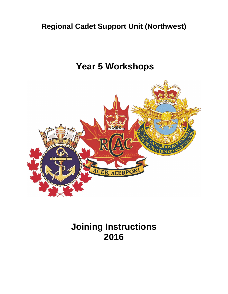# **Regional Cadet Support Unit (Northwest)**

# **Year 5 Workshops**



**Joining Instructions 2016**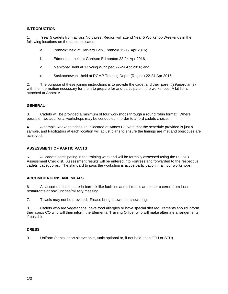#### **INTRODUCTION**

1. Year 5 cadets from across Northwest Region will attend Year 5 Workshop Weekends in the following locations on the dates indicated:

- a. Penhold: held at Harvard Park, Penhold 15-17 Apr 2016;
- b. Edmonton: held at Garrison Edmonton 22-24 Apr 2016;
- c. Manitoba: held at 17 Wing Winnipeg 22-24 Apr 2016; and
- e. Saskatchewan: held at RCMP Training Depot (Regina) 22-24 Apr 2016.

2. The purpose of these joining instructions is to provide the cadet and their parent(s)/guardian(s) with the information necessary for them to prepare for and participate in the workshops. A kit list is attached at Annex A.

#### **GENERAL**

3. Cadets will be provided a minimum of four workshops through a round robin format. Where possible, two additional workshops may be conducted in order to afford cadets choice.

4. A sample weekend schedule is located at Annex B. Note that the schedule provided is just a sample, and Facilitators at each location will adjust plans to ensure the timings are met and objectives are achieved.

#### **ASSESSMENT OF PARTICIPANTS**

5. All cadets participating in the training weekend will be formally assessed using the PO 513 Assessment Checklist. Assessment results will be entered into Fortress and forwarded to the respective cadets' cadet corps. The standard to pass the workshop is active participation in all four workshops.

#### **ACCOMODATIONS AND MEALS**

6. All accommodations are in barrack like facilities and all meals are either catered from local restaurants or box lunches/military messing.

7. Towels may not be provided. Please bring a towel for showering.

8. Cadets who are vegetarians, have food allergies or have special diet requirements should inform their corps CO who will then inform the Elemental Training Officer who will make alternate arrangements if possible.

#### **DRESS**

9. Uniform (pants, short sleeve shirt, tunic optional or, if not held, then FTU or STU).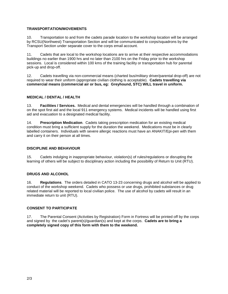## **TRANSPORTATION/MOVEMENTS**

10. Transportation to and from the cadets parade location to the workshop location will be arranged by RCSU(Northwest) Transportation Section and will be communicated to corps/squadrons by the Transport Section under separate cover to the corps email account.

11. Cadets that are local to the workshop locations are to arrive at their respective accommodations buildings no earlier than 1900 hrs and no later than 2100 hrs on the Friday prior to the workshop sessions. Local is considered within 100 kms of the training facility or transportation hub for parental pick-up and drop-off.

12. Cadets travelling via non-commercial means (charted bus/military driver/parental drop-off) are not required to wear their uniform (appropriate civilian clothing is acceptable). **Cadets travelling via commercial means (commercial air or bus, eg: Greyhound, STC) WILL travel in uniform.**

#### **MEDICAL / DENTAL / HEALTH**

13. **Facilities / Services.** Medical and dental emergencies will be handled through a combination of on the spot first aid and the local 911 emergency systems. Medical incidents will be handled using first aid and evacuation to a designated medical facility.

14. **Prescription Medication**. Cadets taking prescription medication for an existing medical condition must bring a sufficient supply for the duration the weekend. Medications must be in clearly labelled containers. Individuals with severe allergic reactions must have an ANAKIT/Epi-pen with them and carry it on their person at all times.

#### **DISCIPLINE AND BEHAVIOUR**

15. Cadets indulging in inappropriate behaviour, violation(s) of rules/regulations or disrupting the learning of others will be subject to disciplinary action including the possibility of Return to Unit (RTU).

#### **DRUGS AND ALCOHOL**

16. **Regulations**. The orders detailed in CATO 13-23 concerning drugs and alcohol will be applied to conduct of the workshop weekend. Cadets who possess or use drugs, prohibited substances or drug related material will be reported to local civilian police. The use of alcohol by cadets will result in an immediate return to unit (RTU).

#### **CONSENT TO PARTICIPATE**

17. The Parental Consent (Activities by Registration) Form in Fortress will be printed off by the corps and signed by the cadet's parent(s)/guardian(s) and kept at the corps. **Cadets are to bring a completely signed copy of this form with them to the weekend.**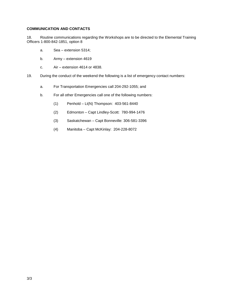## **COMMUNICATION AND CONTACTS**

18. Routine communications regarding the Workshops are to be directed to the Elemental Training Officers 1-800-842-1851, option 8

- a. Sea extension 5314;
- b. Army extension 4619
- c. Air extension 4614 or 4838.
- 19. During the conduct of the weekend the following is a list of emergency contact numbers:
	- a. For Transportation Emergencies call 204-292-1055; and
	- b. For all other Emergencies call one of the following numbers:
		- (1) Penhold Lt(N) Thompson: 403-561-8440
		- (2) Edmonton Capt Lindley-Scott: 780-994-1476
		- (3) Saskatchewan Capt Bonneville: 306-581-3396
		- (4) Manitoba Capt McKinlay: 204-228-8072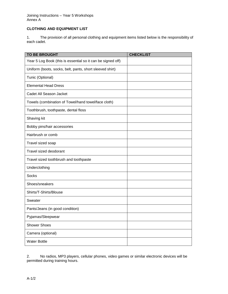#### Joining Instructions – Year 5 Workshops Annex A

# **CLOTHING AND EQUIPMENT LIST**

1. The provision of all personal clothing and equipment items listed below is the responsibility of each cadet.

| <b>TO BE BROUGHT</b>                                        | <b>CHECKLIST</b> |
|-------------------------------------------------------------|------------------|
| Year 5 Log Book (this is essential so it can be signed off) |                  |
| Uniform (boots, socks, belt, pants, short sleeved shirt)    |                  |
| Tunic (Optional)                                            |                  |
| <b>Elemental Head Dress</b>                                 |                  |
| Cadet All Season Jacket                                     |                  |
| Towels (combination of Towel/hand towel/face cloth)         |                  |
| Toothbrush, toothpaste, dental floss                        |                  |
| Shaving kit                                                 |                  |
| Bobby pins/hair accessories                                 |                  |
| Hairbrush or comb                                           |                  |
| Travel sized soap                                           |                  |
| Travel sized deodorant                                      |                  |
| Travel sized toothbrush and toothpaste                      |                  |
| Underclothing                                               |                  |
| <b>Socks</b>                                                |                  |
| Shoes/sneakers                                              |                  |
| Shirts/T-Shirts/Blouse                                      |                  |
| Sweater                                                     |                  |
| Pants/Jeans (in good condition)                             |                  |
| Pyjamas/Sleepwear                                           |                  |
| <b>Shower Shoes</b>                                         |                  |
| Camera (optional)                                           |                  |
| <b>Water Bottle</b>                                         |                  |

2. No radios, MP3 players, cellular phones, video games or similar electronic devices will be permitted during training hours.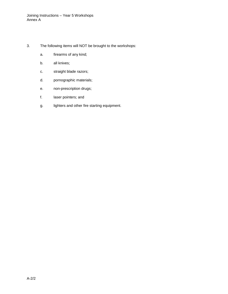- 3. The following items will NOT be brought to the workshops:
	- a. firearms of any kind;
	- b. all knives;
	- c. straight blade razors;
	- d. pornographic materials;
	- e. non-prescription drugs;
	- f. laser pointers; and
	- g. lighters and other fire starting equipment.